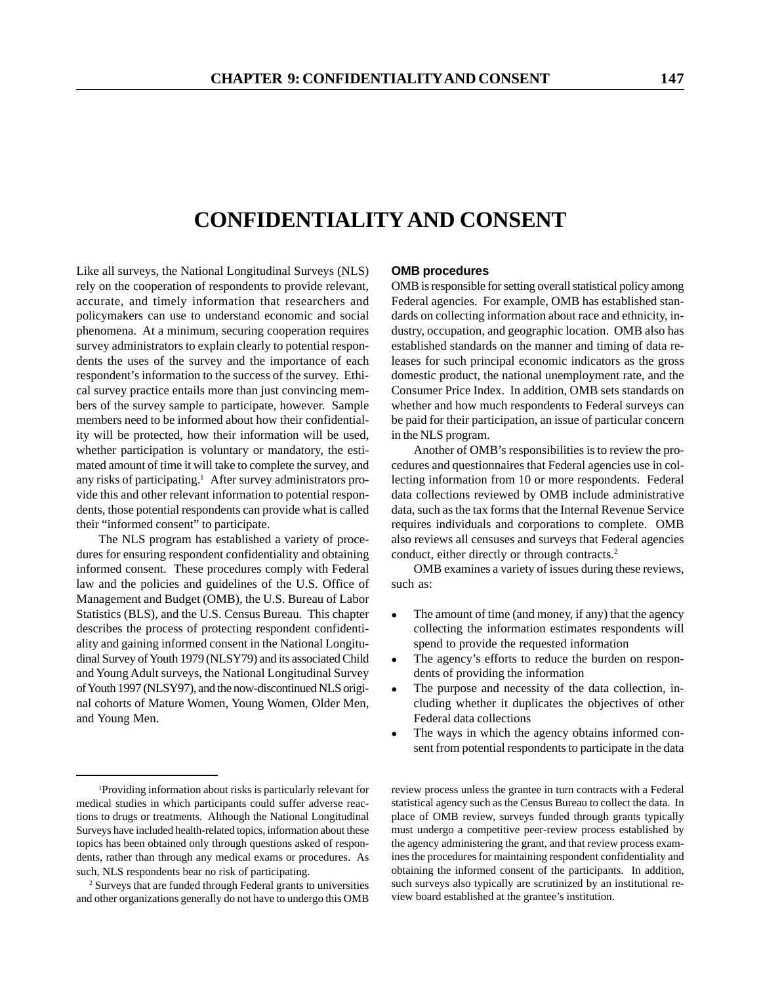# **CONFIDENTIALITY AND CONSENT**

Like all surveys, the National Longitudinal Surveys (NLS) rely on the cooperation of respondents to provide relevant, accurate, and timely information that researchers and policymakers can use to understand economic and social phenomena. At a minimum, securing cooperation requires survey administrators to explain clearly to potential respondents the uses of the survey and the importance of each respondent's information to the success of the survey. Ethical survey practice entails more than just convincing members of the survey sample to participate, however. Sample members need to be informed about how their confidentiality will be protected, how their information will be used, whether participation is voluntary or mandatory, the estimated amount of time it will take to complete the survey, and any risks of participating.1 After survey administrators provide this and other relevant information to potential respondents, those potential respondents can provide what is called their "informed consent" to participate.

The NLS program has established a variety of procedures for ensuring respondent confidentiality and obtaining informed consent. These procedures comply with Federal law and the policies and guidelines of the U.S. Office of Management and Budget (OMB), the U.S. Bureau of Labor Statistics (BLS), and the U.S. Census Bureau. This chapter describes the process of protecting respondent confidentiality and gaining informed consent in the National Longitudinal Survey of Youth 1979 (NLSY79) and its associated Child and Young Adult surveys, the National Longitudinal Survey of Youth 1997 (NLSY97), and the now-discontinued NLS original cohorts of Mature Women, Young Women, Older Men, and Young Men.

#### **OMB procedures**

OMB is responsible for setting overall statistical policy among Federal agencies. For example, OMB has established standards on collecting information about race and ethnicity, industry, occupation, and geographic location. OMB also has established standards on the manner and timing of data releases for such principal economic indicators as the gross domestic product, the national unemployment rate, and the Consumer Price Index. In addition, OMB sets standards on whether and how much respondents to Federal surveys can be paid for their participation, an issue of particular concern in the NLS program.

Another of OMB's responsibilities is to review the procedures and questionnaires that Federal agencies use in collecting information from 10 or more respondents. Federal data collections reviewed by OMB include administrative data, such as the tax forms that the Internal Revenue Service requires individuals and corporations to complete. OMB also reviews all censuses and surveys that Federal agencies conduct, either directly or through contracts.<sup>2</sup>

OMB examines a variety of issues during these reviews, such as:

- The amount of time (and money, if any) that the agency collecting the information estimates respondents will spend to provide the requested information
- The agency's efforts to reduce the burden on respondents of providing the information
- The purpose and necessity of the data collection, including whether it duplicates the objectives of other Federal data collections
- The ways in which the agency obtains informed consent from potential respondents to participate in the data

review process unless the grantee in turn contracts with a Federal statistical agency such as the Census Bureau to collect the data. In place of OMB review, surveys funded through grants typically must undergo a competitive peer-review process established by the agency administering the grant, and that review process examines the procedures for maintaining respondent confidentiality and obtaining the informed consent of the participants. In addition, such surveys also typically are scrutinized by an institutional review board established at the grantee's institution.

<sup>1</sup> Providing information about risks is particularly relevant for medical studies in which participants could suffer adverse reactions to drugs or treatments. Although the National Longitudinal Surveys have included health-related topics, information about these topics has been obtained only through questions asked of respondents, rather than through any medical exams or procedures. As such, NLS respondents bear no risk of participating.

<sup>2</sup> Surveys that are funded through Federal grants to universities and other organizations generally do not have to undergo this OMB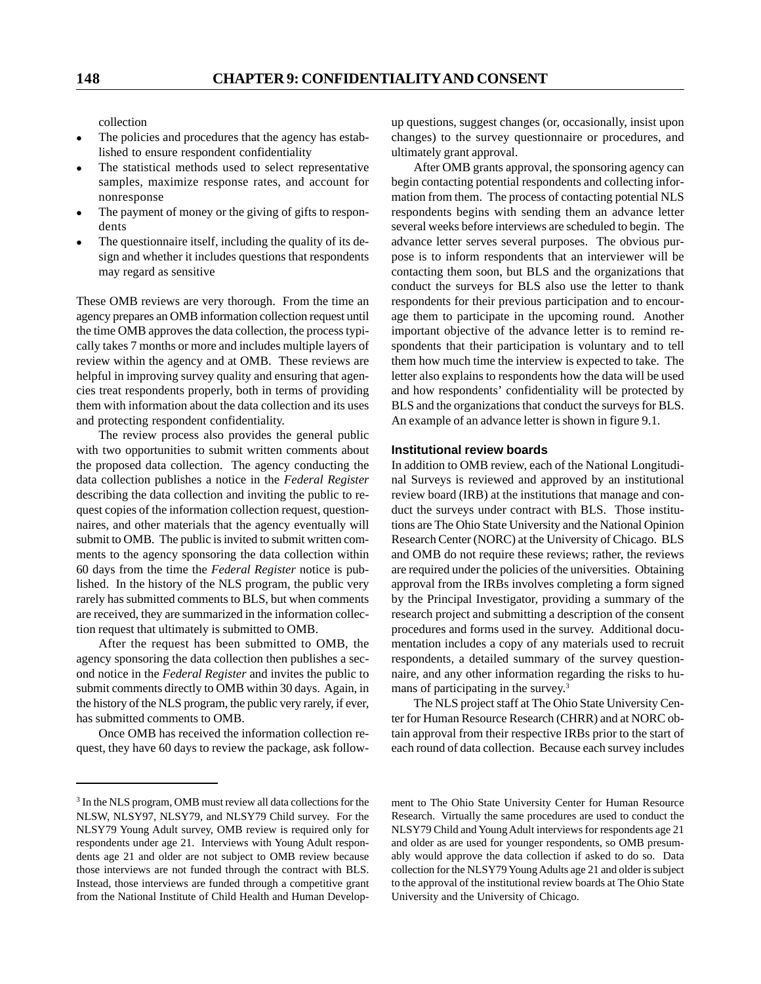collection

- The policies and procedures that the agency has established to ensure respondent confidentiality
- The statistical methods used to select representative samples, maximize response rates, and account for nonresponse
- The payment of money or the giving of gifts to respondents
- $\bullet$  The questionnaire itself, including the quality of its design and whether it includes questions that respondents may regard as sensitive

These OMB reviews are very thorough. From the time an agency prepares an OMB information collection request until the time OMB approves the data collection, the process typically takes 7 months or more and includes multiple layers of review within the agency and at OMB. These reviews are helpful in improving survey quality and ensuring that agencies treat respondents properly, both in terms of providing them with information about the data collection and its uses and protecting respondent confidentiality.

The review process also provides the general public with two opportunities to submit written comments about the proposed data collection. The agency conducting the data collection publishes a notice in the *Federal Register* describing the data collection and inviting the public to request copies of the information collection request, questionnaires, and other materials that the agency eventually will submit to OMB. The public is invited to submit written comments to the agency sponsoring the data collection within 60 days from the time the *Federal Register* notice is published. In the history of the NLS program, the public very rarely has submitted comments to BLS, but when comments are received, they are summarized in the information collection request that ultimately is submitted to OMB.

After the request has been submitted to OMB, the agency sponsoring the data collection then publishes a second notice in the *Federal Register* and invites the public to submit comments directly to OMB within 30 days. Again, in the history of the NLS program, the public very rarely, if ever, has submitted comments to OMB.

Once OMB has received the information collection request, they have 60 days to review the package, ask followup questions, suggest changes (or, occasionally, insist upon changes) to the survey questionnaire or procedures, and ultimately grant approval.

After OMB grants approval, the sponsoring agency can begin contacting potential respondents and collecting information from them. The process of contacting potential NLS respondents begins with sending them an advance letter several weeks before interviews are scheduled to begin. The advance letter serves several purposes. The obvious purpose is to inform respondents that an interviewer will be contacting them soon, but BLS and the organizations that conduct the surveys for BLS also use the letter to thank respondents for their previous participation and to encourage them to participate in the upcoming round. Another important objective of the advance letter is to remind respondents that their participation is voluntary and to tell them how much time the interview is expected to take. The letter also explains to respondents how the data will be used and how respondents' confidentiality will be protected by BLS and the organizations that conduct the surveys for BLS. An example of an advance letter is shown in figure 9.1.

## **Institutional review boards**

In addition to OMB review, each of the National Longitudinal Surveys is reviewed and approved by an institutional review board (IRB) at the institutions that manage and conduct the surveys under contract with BLS. Those institutions are The Ohio State University and the National Opinion Research Center (NORC) at the University of Chicago. BLS and OMB do not require these reviews; rather, the reviews are required under the policies of the universities. Obtaining approval from the IRBs involves completing a form signed by the Principal Investigator, providing a summary of the research project and submitting a description of the consent procedures and forms used in the survey. Additional documentation includes a copy of any materials used to recruit respondents, a detailed summary of the survey questionnaire, and any other information regarding the risks to humans of participating in the survey.<sup>3</sup>

The NLS project staff at The Ohio State University Center for Human Resource Research (CHRR) and at NORC obtain approval from their respective IRBs prior to the start of each round of data collection. Because each survey includes

ment to The Ohio State University Center for Human Resource Research. Virtually the same procedures are used to conduct the NLSY79 Child and Young Adult interviews for respondents age 21 and older as are used for younger respondents, so OMB presumably would approve the data collection if asked to do so. Data collection for the NLSY79 Young Adults age 21 and older is subject to the approval of the institutional review boards at The Ohio State University and the University of Chicago.

<sup>3</sup> In the NLS program, OMB must review all data collections for the NLSW, NLSY97, NLSY79, and NLSY79 Child survey. For the NLSY79 Young Adult survey, OMB review is required only for respondents under age 21. Interviews with Young Adult respondents age 21 and older are not subject to OMB review because those interviews are not funded through the contract with BLS. Instead, those interviews are funded through a competitive grant from the National Institute of Child Health and Human Develop-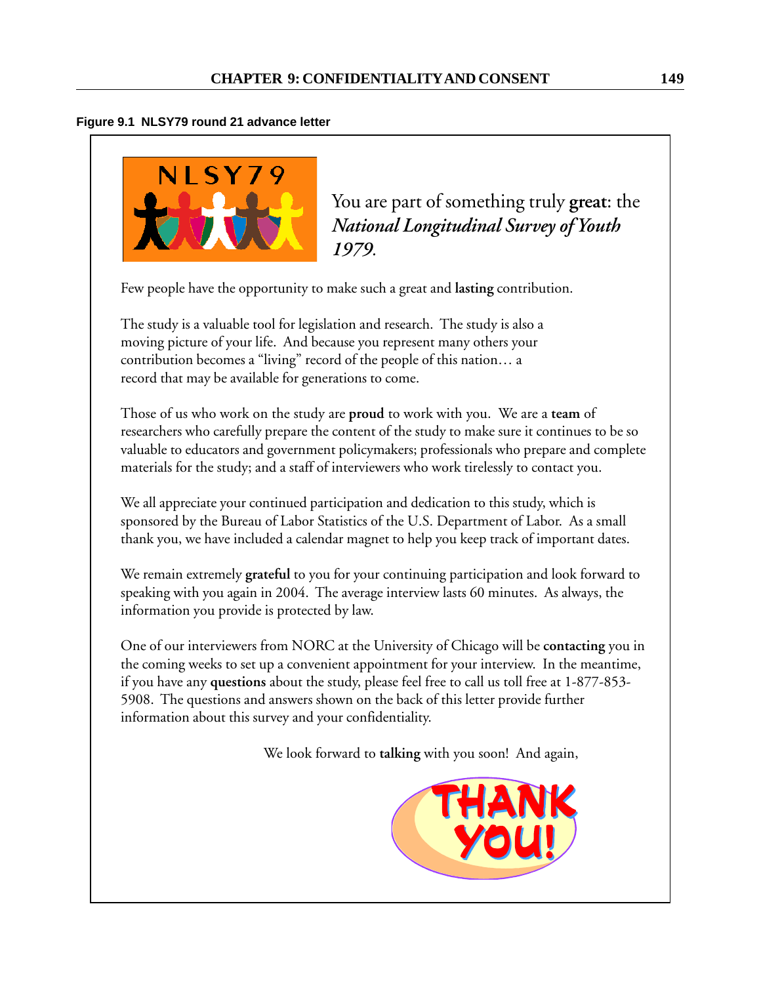# **Figure 9.1 NLSY79 round 21 advance letter**



You are part of something truly **great**: the *National Longitudinal Survey of Youth 1979.*

Few people have the opportunity to make such a great and **lasting** contribution.

The study is a valuable tool for legislation and research. The study is also a moving picture of your life. And because you represent many others your contribution becomes a "living" record of the people of this nation… a record that may be available for generations to come.

Those of us who work on the study are **proud** to work with you. We are a **team** of researchers who carefully prepare the content of the study to make sure it continues to be so valuable to educators and government policymakers; professionals who prepare and complete materials for the study; and a staff of interviewers who work tirelessly to contact you.

We all appreciate your continued participation and dedication to this study, which is sponsored by the Bureau of Labor Statistics of the U.S. Department of Labor. As a small thank you, we have included a calendar magnet to help you keep track of important dates.

We remain extremely **grateful** to you for your continuing participation and look forward to speaking with you again in 2004. The average interview lasts 60 minutes. As always, the information you provide is protected by law.

One of our interviewers from NORC at the University of Chicago will be **contacting** you in the coming weeks to set up a convenient appointment for your interview. In the meantime, if you have any **questions** about the study, please feel free to call us toll free at 1-877-853- 5908. The questions and answers shown on the back of this letter provide further information about this survey and your confidentiality.

We look forward to **talking** with you soon! And again,

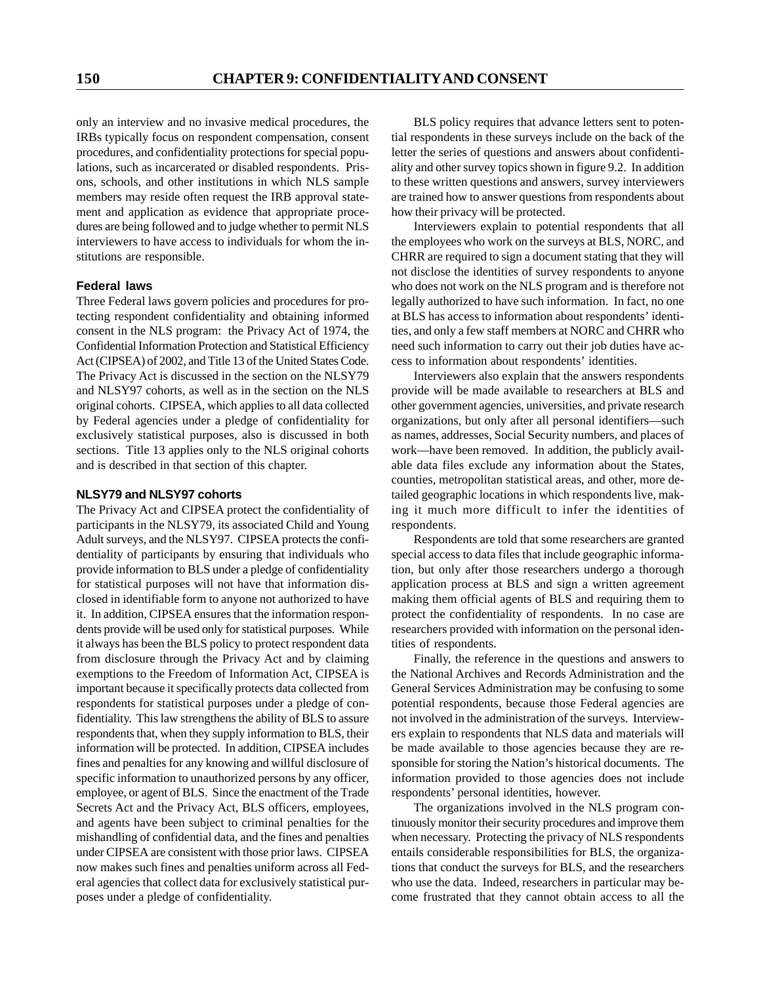only an interview and no invasive medical procedures, the IRBs typically focus on respondent compensation, consent procedures, and confidentiality protections for special populations, such as incarcerated or disabled respondents. Prisons, schools, and other institutions in which NLS sample members may reside often request the IRB approval statement and application as evidence that appropriate procedures are being followed and to judge whether to permit NLS interviewers to have access to individuals for whom the institutions are responsible.

## **Federal laws**

Three Federal laws govern policies and procedures for protecting respondent confidentiality and obtaining informed consent in the NLS program: the Privacy Act of 1974, the Confidential Information Protection and Statistical Efficiency Act (CIPSEA) of 2002, and Title 13 of the United States Code. The Privacy Act is discussed in the section on the NLSY79 and NLSY97 cohorts, as well as in the section on the NLS original cohorts. CIPSEA, which applies to all data collected by Federal agencies under a pledge of confidentiality for exclusively statistical purposes, also is discussed in both sections. Title 13 applies only to the NLS original cohorts and is described in that section of this chapter.

#### **NLSY79 and NLSY97 cohorts**

The Privacy Act and CIPSEA protect the confidentiality of participants in the NLSY79, its associated Child and Young Adult surveys, and the NLSY97. CIPSEA protects the confidentiality of participants by ensuring that individuals who provide information to BLS under a pledge of confidentiality for statistical purposes will not have that information disclosed in identifiable form to anyone not authorized to have it. In addition, CIPSEA ensures that the information respondents provide will be used only for statistical purposes. While it always has been the BLS policy to protect respondent data from disclosure through the Privacy Act and by claiming exemptions to the Freedom of Information Act, CIPSEA is important because it specifically protects data collected from respondents for statistical purposes under a pledge of confidentiality. This law strengthens the ability of BLS to assure respondents that, when they supply information to BLS, their information will be protected. In addition, CIPSEA includes fines and penalties for any knowing and willful disclosure of specific information to unauthorized persons by any officer, employee, or agent of BLS. Since the enactment of the Trade Secrets Act and the Privacy Act, BLS officers, employees, and agents have been subject to criminal penalties for the mishandling of confidential data, and the fines and penalties under CIPSEA are consistent with those prior laws. CIPSEA now makes such fines and penalties uniform across all Federal agencies that collect data for exclusively statistical purposes under a pledge of confidentiality.

BLS policy requires that advance letters sent to potential respondents in these surveys include on the back of the letter the series of questions and answers about confidentiality and other survey topics shown in figure 9.2. In addition to these written questions and answers, survey interviewers are trained how to answer questions from respondents about how their privacy will be protected.

Interviewers explain to potential respondents that all the employees who work on the surveys at BLS, NORC, and CHRR are required to sign a document stating that they will not disclose the identities of survey respondents to anyone who does not work on the NLS program and is therefore not legally authorized to have such information. In fact, no one at BLS has access to information about respondents' identities, and only a few staff members at NORC and CHRR who need such information to carry out their job duties have access to information about respondents' identities.

Interviewers also explain that the answers respondents provide will be made available to researchers at BLS and other government agencies, universities, and private research organizations, but only after all personal identifiers—such as names, addresses, Social Security numbers, and places of work—have been removed. In addition, the publicly available data files exclude any information about the States, counties, metropolitan statistical areas, and other, more detailed geographic locations in which respondents live, making it much more difficult to infer the identities of respondents.

Respondents are told that some researchers are granted special access to data files that include geographic information, but only after those researchers undergo a thorough application process at BLS and sign a written agreement making them official agents of BLS and requiring them to protect the confidentiality of respondents. In no case are researchers provided with information on the personal identities of respondents.

Finally, the reference in the questions and answers to the National Archives and Records Administration and the General Services Administration may be confusing to some potential respondents, because those Federal agencies are not involved in the administration of the surveys. Interviewers explain to respondents that NLS data and materials will be made available to those agencies because they are responsible for storing the Nation's historical documents. The information provided to those agencies does not include respondents' personal identities, however.

The organizations involved in the NLS program continuously monitor their security procedures and improve them when necessary. Protecting the privacy of NLS respondents entails considerable responsibilities for BLS, the organizations that conduct the surveys for BLS, and the researchers who use the data. Indeed, researchers in particular may become frustrated that they cannot obtain access to all the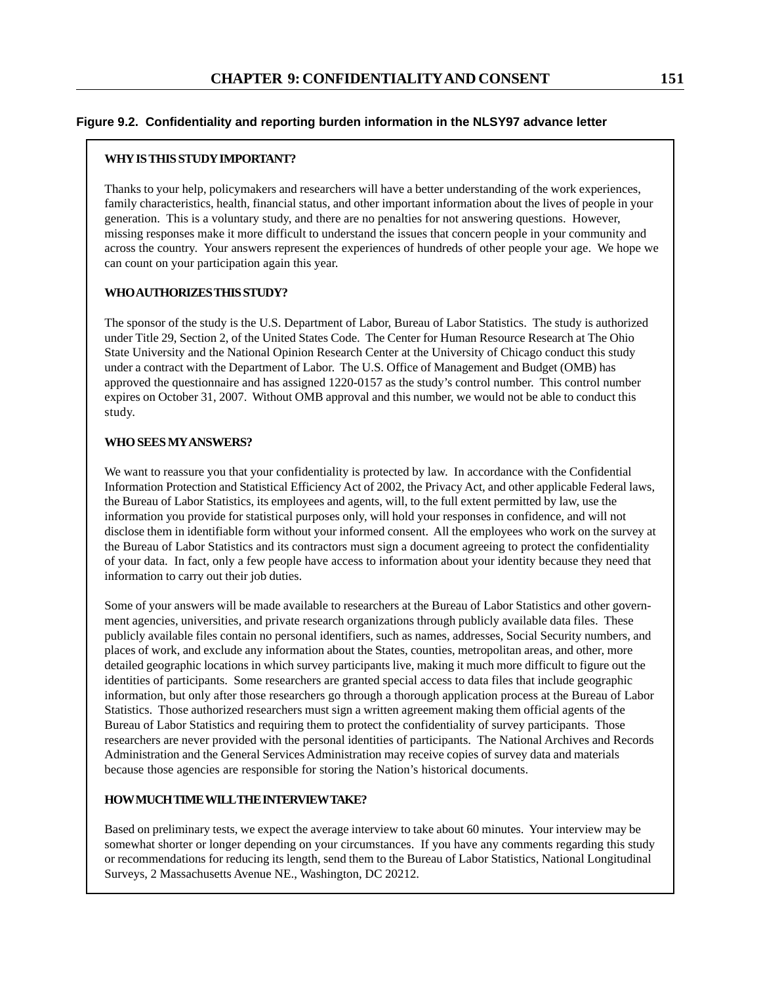## **Figure 9.2. Confidentiality and reporting burden information in the NLSY97 advance letter**

## **WHY IS THIS STUDY IMPORTANT?**

Thanks to your help, policymakers and researchers will have a better understanding of the work experiences, family characteristics, health, financial status, and other important information about the lives of people in your generation. This is a voluntary study, and there are no penalties for not answering questions. However, missing responses make it more difficult to understand the issues that concern people in your community and across the country. Your answers represent the experiences of hundreds of other people your age. We hope we can count on your participation again this year.

## **WHO AUTHORIZES THIS STUDY?**

The sponsor of the study is the U.S. Department of Labor, Bureau of Labor Statistics. The study is authorized under Title 29, Section 2, of the United States Code. The Center for Human Resource Research at The Ohio State University and the National Opinion Research Center at the University of Chicago conduct this study under a contract with the Department of Labor. The U.S. Office of Management and Budget (OMB) has approved the questionnaire and has assigned 1220-0157 as the study's control number. This control number expires on October 31, 2007. Without OMB approval and this number, we would not be able to conduct this study.

#### **WHO SEES MY ANSWERS?**

We want to reassure you that your confidentiality is protected by law. In accordance with the Confidential Information Protection and Statistical Efficiency Act of 2002, the Privacy Act, and other applicable Federal laws, the Bureau of Labor Statistics, its employees and agents, will, to the full extent permitted by law, use the information you provide for statistical purposes only, will hold your responses in confidence, and will not disclose them in identifiable form without your informed consent. All the employees who work on the survey at the Bureau of Labor Statistics and its contractors must sign a document agreeing to protect the confidentiality of your data. In fact, only a few people have access to information about your identity because they need that information to carry out their job duties.

Some of your answers will be made available to researchers at the Bureau of Labor Statistics and other government agencies, universities, and private research organizations through publicly available data files. These publicly available files contain no personal identifiers, such as names, addresses, Social Security numbers, and places of work, and exclude any information about the States, counties, metropolitan areas, and other, more detailed geographic locations in which survey participants live, making it much more difficult to figure out the identities of participants. Some researchers are granted special access to data files that include geographic information, but only after those researchers go through a thorough application process at the Bureau of Labor Statistics. Those authorized researchers must sign a written agreement making them official agents of the Bureau of Labor Statistics and requiring them to protect the confidentiality of survey participants. Those researchers are never provided with the personal identities of participants. The National Archives and Records Administration and the General Services Administration may receive copies of survey data and materials because those agencies are responsible for storing the Nation's historical documents.

## **HOW MUCH TIME WILL THE INTERVIEW TAKE?**

Based on preliminary tests, we expect the average interview to take about 60 minutes. Your interview may be somewhat shorter or longer depending on your circumstances. If you have any comments regarding this study or recommendations for reducing its length, send them to the Bureau of Labor Statistics, National Longitudinal Surveys, 2 Massachusetts Avenue NE., Washington, DC 20212.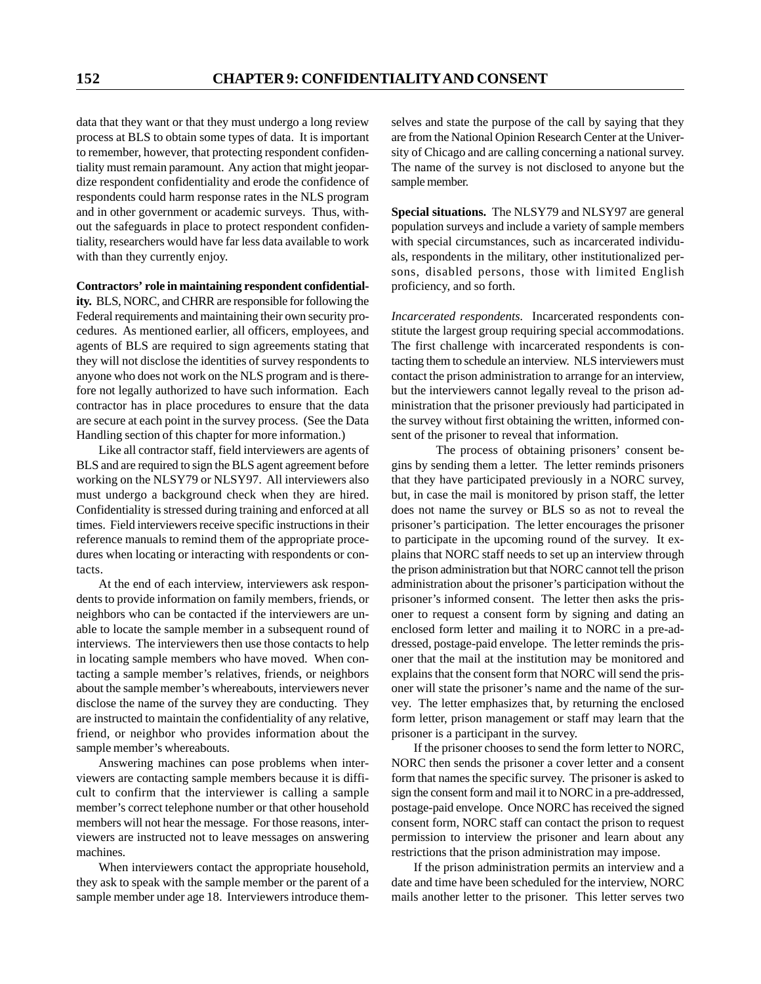data that they want or that they must undergo a long review process at BLS to obtain some types of data. It is important to remember, however, that protecting respondent confidentiality must remain paramount. Any action that might jeopardize respondent confidentiality and erode the confidence of respondents could harm response rates in the NLS program and in other government or academic surveys. Thus, without the safeguards in place to protect respondent confidentiality, researchers would have far less data available to work with than they currently enjoy.

#### **Contractors' role in maintaining respondent confidential-**

**ity.** BLS, NORC, and CHRR are responsible for following the Federal requirements and maintaining their own security procedures. As mentioned earlier, all officers, employees, and agents of BLS are required to sign agreements stating that they will not disclose the identities of survey respondents to anyone who does not work on the NLS program and is therefore not legally authorized to have such information. Each contractor has in place procedures to ensure that the data are secure at each point in the survey process. (See the Data Handling section of this chapter for more information.)

Like all contractor staff, field interviewers are agents of BLS and are required to sign the BLS agent agreement before working on the NLSY79 or NLSY97. All interviewers also must undergo a background check when they are hired. Confidentiality is stressed during training and enforced at all times. Field interviewers receive specific instructions in their reference manuals to remind them of the appropriate procedures when locating or interacting with respondents or contacts.

At the end of each interview, interviewers ask respondents to provide information on family members, friends, or neighbors who can be contacted if the interviewers are unable to locate the sample member in a subsequent round of interviews. The interviewers then use those contacts to help in locating sample members who have moved. When contacting a sample member's relatives, friends, or neighbors about the sample member's whereabouts, interviewers never disclose the name of the survey they are conducting. They are instructed to maintain the confidentiality of any relative, friend, or neighbor who provides information about the sample member's whereabouts.

Answering machines can pose problems when interviewers are contacting sample members because it is difficult to confirm that the interviewer is calling a sample member's correct telephone number or that other household members will not hear the message. For those reasons, interviewers are instructed not to leave messages on answering machines.

When interviewers contact the appropriate household, they ask to speak with the sample member or the parent of a sample member under age 18. Interviewers introduce themselves and state the purpose of the call by saying that they are from the National Opinion Research Center at the University of Chicago and are calling concerning a national survey. The name of the survey is not disclosed to anyone but the sample member.

**Special situations.** The NLSY79 and NLSY97 are general population surveys and include a variety of sample members with special circumstances, such as incarcerated individuals, respondents in the military, other institutionalized persons, disabled persons, those with limited English proficiency, and so forth.

*Incarcerated respondents.* Incarcerated respondents constitute the largest group requiring special accommodations. The first challenge with incarcerated respondents is contacting them to schedule an interview. NLS interviewers must contact the prison administration to arrange for an interview, but the interviewers cannot legally reveal to the prison administration that the prisoner previously had participated in the survey without first obtaining the written, informed consent of the prisoner to reveal that information.

The process of obtaining prisoners' consent begins by sending them a letter. The letter reminds prisoners that they have participated previously in a NORC survey, but, in case the mail is monitored by prison staff, the letter does not name the survey or BLS so as not to reveal the prisoner's participation. The letter encourages the prisoner to participate in the upcoming round of the survey. It explains that NORC staff needs to set up an interview through the prison administration but that NORC cannot tell the prison administration about the prisoner's participation without the prisoner's informed consent. The letter then asks the prisoner to request a consent form by signing and dating an enclosed form letter and mailing it to NORC in a pre-addressed, postage-paid envelope. The letter reminds the prisoner that the mail at the institution may be monitored and explains that the consent form that NORC will send the prisoner will state the prisoner's name and the name of the survey. The letter emphasizes that, by returning the enclosed form letter, prison management or staff may learn that the prisoner is a participant in the survey.

If the prisoner chooses to send the form letter to NORC, NORC then sends the prisoner a cover letter and a consent form that names the specific survey. The prisoner is asked to sign the consent form and mail it to NORC in a pre-addressed, postage-paid envelope. Once NORC has received the signed consent form, NORC staff can contact the prison to request permission to interview the prisoner and learn about any restrictions that the prison administration may impose.

If the prison administration permits an interview and a date and time have been scheduled for the interview, NORC mails another letter to the prisoner. This letter serves two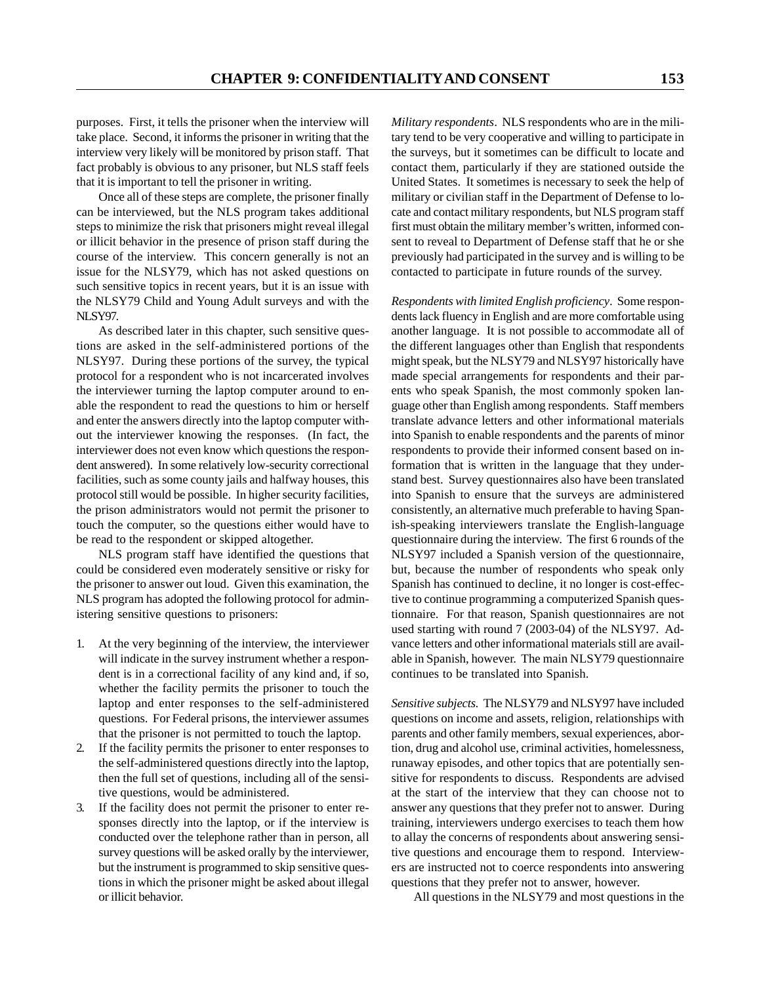purposes. First, it tells the prisoner when the interview will take place. Second, it informs the prisoner in writing that the interview very likely will be monitored by prison staff. That fact probably is obvious to any prisoner, but NLS staff feels that it is important to tell the prisoner in writing.

Once all of these steps are complete, the prisoner finally can be interviewed, but the NLS program takes additional steps to minimize the risk that prisoners might reveal illegal or illicit behavior in the presence of prison staff during the course of the interview. This concern generally is not an issue for the NLSY79, which has not asked questions on such sensitive topics in recent years, but it is an issue with the NLSY79 Child and Young Adult surveys and with the NLSY97.

As described later in this chapter, such sensitive questions are asked in the self-administered portions of the NLSY97. During these portions of the survey, the typical protocol for a respondent who is not incarcerated involves the interviewer turning the laptop computer around to enable the respondent to read the questions to him or herself and enter the answers directly into the laptop computer without the interviewer knowing the responses. (In fact, the interviewer does not even know which questions the respondent answered). In some relatively low-security correctional facilities, such as some county jails and halfway houses, this protocol still would be possible. In higher security facilities, the prison administrators would not permit the prisoner to touch the computer, so the questions either would have to be read to the respondent or skipped altogether.

NLS program staff have identified the questions that could be considered even moderately sensitive or risky for the prisoner to answer out loud. Given this examination, the NLS program has adopted the following protocol for administering sensitive questions to prisoners:

- 1. At the very beginning of the interview, the interviewer will indicate in the survey instrument whether a respondent is in a correctional facility of any kind and, if so, whether the facility permits the prisoner to touch the laptop and enter responses to the self-administered questions. For Federal prisons, the interviewer assumes that the prisoner is not permitted to touch the laptop.
- 2. If the facility permits the prisoner to enter responses to the self-administered questions directly into the laptop, then the full set of questions, including all of the sensitive questions, would be administered.
- 3. If the facility does not permit the prisoner to enter responses directly into the laptop, or if the interview is conducted over the telephone rather than in person, all survey questions will be asked orally by the interviewer, but the instrument is programmed to skip sensitive questions in which the prisoner might be asked about illegal or illicit behavior.

*Military respondents*. NLS respondents who are in the military tend to be very cooperative and willing to participate in the surveys, but it sometimes can be difficult to locate and contact them, particularly if they are stationed outside the United States. It sometimes is necessary to seek the help of military or civilian staff in the Department of Defense to locate and contact military respondents, but NLS program staff first must obtain the military member's written, informed consent to reveal to Department of Defense staff that he or she previously had participated in the survey and is willing to be contacted to participate in future rounds of the survey.

*Respondents with limited English proficiency*. Some respondents lack fluency in English and are more comfortable using another language. It is not possible to accommodate all of the different languages other than English that respondents might speak, but the NLSY79 and NLSY97 historically have made special arrangements for respondents and their parents who speak Spanish, the most commonly spoken language other than English among respondents. Staff members translate advance letters and other informational materials into Spanish to enable respondents and the parents of minor respondents to provide their informed consent based on information that is written in the language that they understand best. Survey questionnaires also have been translated into Spanish to ensure that the surveys are administered consistently, an alternative much preferable to having Spanish-speaking interviewers translate the English-language questionnaire during the interview. The first 6 rounds of the NLSY97 included a Spanish version of the questionnaire, but, because the number of respondents who speak only Spanish has continued to decline, it no longer is cost-effective to continue programming a computerized Spanish questionnaire. For that reason, Spanish questionnaires are not used starting with round 7 (2003-04) of the NLSY97. Advance letters and other informational materials still are available in Spanish, however. The main NLSY79 questionnaire continues to be translated into Spanish.

*Sensitive subjects.* The NLSY79 and NLSY97 have included questions on income and assets, religion, relationships with parents and other family members, sexual experiences, abortion, drug and alcohol use, criminal activities, homelessness, runaway episodes, and other topics that are potentially sensitive for respondents to discuss. Respondents are advised at the start of the interview that they can choose not to answer any questions that they prefer not to answer. During training, interviewers undergo exercises to teach them how to allay the concerns of respondents about answering sensitive questions and encourage them to respond. Interviewers are instructed not to coerce respondents into answering questions that they prefer not to answer, however.

All questions in the NLSY79 and most questions in the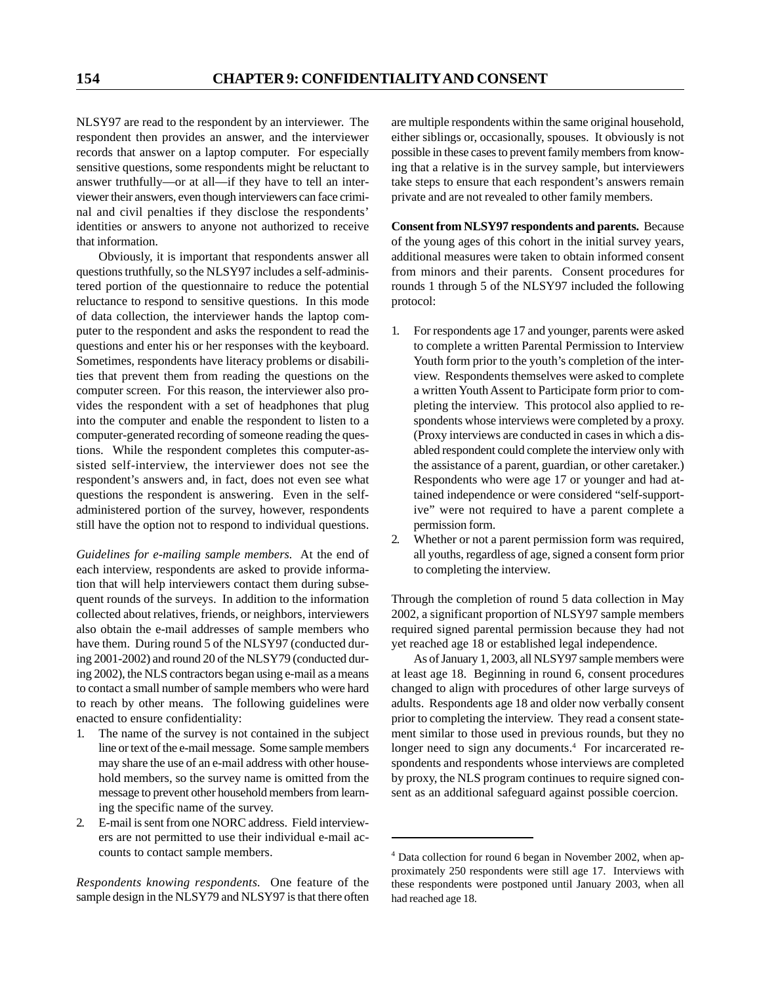NLSY97 are read to the respondent by an interviewer. The respondent then provides an answer, and the interviewer records that answer on a laptop computer. For especially sensitive questions, some respondents might be reluctant to answer truthfully—or at all—if they have to tell an interviewer their answers, even though interviewers can face criminal and civil penalties if they disclose the respondents' identities or answers to anyone not authorized to receive that information.

Obviously, it is important that respondents answer all questions truthfully, so the NLSY97 includes a self-administered portion of the questionnaire to reduce the potential reluctance to respond to sensitive questions. In this mode of data collection, the interviewer hands the laptop computer to the respondent and asks the respondent to read the questions and enter his or her responses with the keyboard. Sometimes, respondents have literacy problems or disabilities that prevent them from reading the questions on the computer screen. For this reason, the interviewer also provides the respondent with a set of headphones that plug into the computer and enable the respondent to listen to a computer-generated recording of someone reading the questions. While the respondent completes this computer-assisted self-interview, the interviewer does not see the respondent's answers and, in fact, does not even see what questions the respondent is answering. Even in the selfadministered portion of the survey, however, respondents still have the option not to respond to individual questions.

*Guidelines for e-mailing sample members.* At the end of each interview, respondents are asked to provide information that will help interviewers contact them during subsequent rounds of the surveys. In addition to the information collected about relatives, friends, or neighbors, interviewers also obtain the e-mail addresses of sample members who have them. During round 5 of the NLSY97 (conducted during 2001-2002) and round 20 of the NLSY79 (conducted during 2002), the NLS contractors began using e-mail as a means to contact a small number of sample members who were hard to reach by other means. The following guidelines were enacted to ensure confidentiality:

- 1. The name of the survey is not contained in the subject line or text of the e-mail message. Some sample members may share the use of an e-mail address with other household members, so the survey name is omitted from the message to prevent other household members from learning the specific name of the survey.
- 2. E-mail is sent from one NORC address. Field interviewers are not permitted to use their individual e-mail accounts to contact sample members.

*Respondents knowing respondents.* One feature of the sample design in the NLSY79 and NLSY97 is that there often are multiple respondents within the same original household, either siblings or, occasionally, spouses. It obviously is not possible in these cases to prevent family members from knowing that a relative is in the survey sample, but interviewers take steps to ensure that each respondent's answers remain private and are not revealed to other family members.

**Consent from NLSY97 respondents and parents.** Because of the young ages of this cohort in the initial survey years, additional measures were taken to obtain informed consent from minors and their parents. Consent procedures for rounds 1 through 5 of the NLSY97 included the following protocol:

- 1. For respondents age 17 and younger, parents were asked to complete a written Parental Permission to Interview Youth form prior to the youth's completion of the interview. Respondents themselves were asked to complete a written Youth Assent to Participate form prior to completing the interview. This protocol also applied to respondents whose interviews were completed by a proxy. (Proxy interviews are conducted in cases in which a disabled respondent could complete the interview only with the assistance of a parent, guardian, or other caretaker.) Respondents who were age 17 or younger and had attained independence or were considered "self-supportive" were not required to have a parent complete a permission form.
- 2. Whether or not a parent permission form was required, all youths, regardless of age, signed a consent form prior to completing the interview.

Through the completion of round 5 data collection in May 2002, a significant proportion of NLSY97 sample members required signed parental permission because they had not yet reached age 18 or established legal independence.

As of January 1, 2003, all NLSY97 sample members were at least age 18. Beginning in round 6, consent procedures changed to align with procedures of other large surveys of adults. Respondents age 18 and older now verbally consent prior to completing the interview. They read a consent statement similar to those used in previous rounds, but they no longer need to sign any documents.<sup>4</sup> For incarcerated respondents and respondents whose interviews are completed by proxy, the NLS program continues to require signed consent as an additional safeguard against possible coercion.

<sup>4</sup> Data collection for round 6 began in November 2002, when approximately 250 respondents were still age 17. Interviews with these respondents were postponed until January 2003, when all had reached age 18.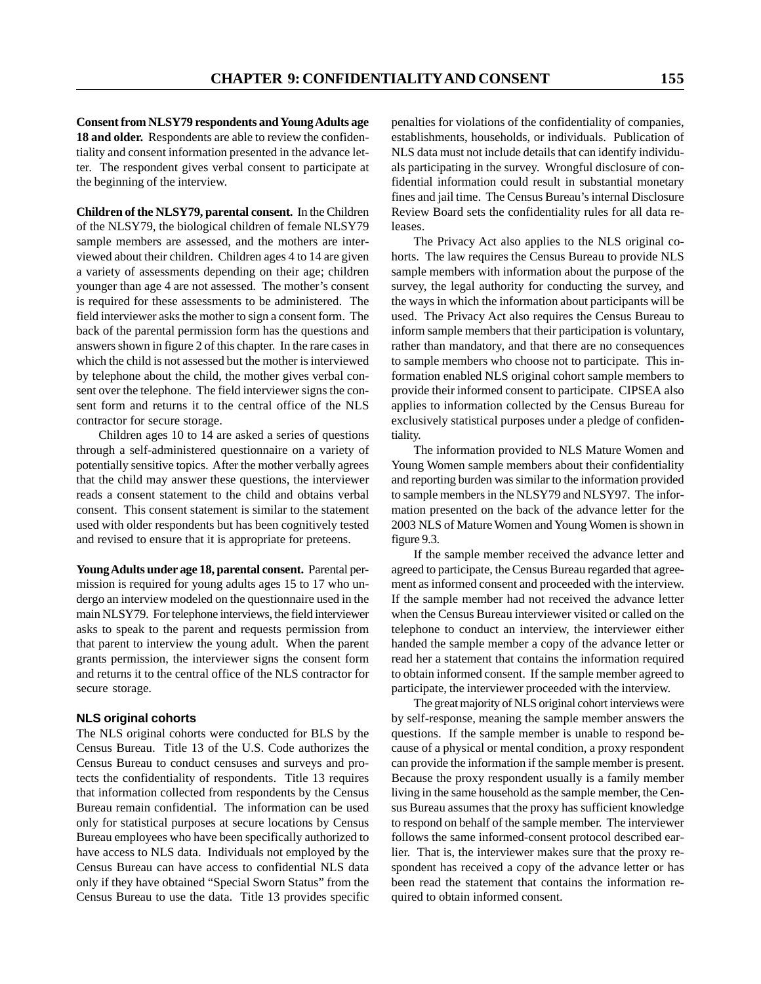**Consent from NLSY79 respondents and Young Adults age 18 and older.** Respondents are able to review the confidentiality and consent information presented in the advance letter. The respondent gives verbal consent to participate at the beginning of the interview.

**Children of the NLSY79, parental consent.** In the Children of the NLSY79, the biological children of female NLSY79 sample members are assessed, and the mothers are interviewed about their children. Children ages 4 to 14 are given a variety of assessments depending on their age; children younger than age 4 are not assessed. The mother's consent is required for these assessments to be administered. The field interviewer asks the mother to sign a consent form. The back of the parental permission form has the questions and answers shown in figure 2 of this chapter. In the rare cases in which the child is not assessed but the mother is interviewed by telephone about the child, the mother gives verbal consent over the telephone. The field interviewer signs the consent form and returns it to the central office of the NLS contractor for secure storage.

Children ages 10 to 14 are asked a series of questions through a self-administered questionnaire on a variety of potentially sensitive topics. After the mother verbally agrees that the child may answer these questions, the interviewer reads a consent statement to the child and obtains verbal consent. This consent statement is similar to the statement used with older respondents but has been cognitively tested and revised to ensure that it is appropriate for preteens.

**Young Adults under age 18, parental consent.** Parental permission is required for young adults ages 15 to 17 who undergo an interview modeled on the questionnaire used in the main NLSY79. For telephone interviews, the field interviewer asks to speak to the parent and requests permission from that parent to interview the young adult. When the parent grants permission, the interviewer signs the consent form and returns it to the central office of the NLS contractor for secure storage.

#### **NLS original cohorts**

The NLS original cohorts were conducted for BLS by the Census Bureau. Title 13 of the U.S. Code authorizes the Census Bureau to conduct censuses and surveys and protects the confidentiality of respondents. Title 13 requires that information collected from respondents by the Census Bureau remain confidential. The information can be used only for statistical purposes at secure locations by Census Bureau employees who have been specifically authorized to have access to NLS data. Individuals not employed by the Census Bureau can have access to confidential NLS data only if they have obtained "Special Sworn Status" from the Census Bureau to use the data. Title 13 provides specific penalties for violations of the confidentiality of companies, establishments, households, or individuals. Publication of NLS data must not include details that can identify individuals participating in the survey. Wrongful disclosure of confidential information could result in substantial monetary fines and jail time. The Census Bureau's internal Disclosure Review Board sets the confidentiality rules for all data releases.

The Privacy Act also applies to the NLS original cohorts. The law requires the Census Bureau to provide NLS sample members with information about the purpose of the survey, the legal authority for conducting the survey, and the ways in which the information about participants will be used. The Privacy Act also requires the Census Bureau to inform sample members that their participation is voluntary, rather than mandatory, and that there are no consequences to sample members who choose not to participate. This information enabled NLS original cohort sample members to provide their informed consent to participate. CIPSEA also applies to information collected by the Census Bureau for exclusively statistical purposes under a pledge of confidentiality.

The information provided to NLS Mature Women and Young Women sample members about their confidentiality and reporting burden was similar to the information provided to sample members in the NLSY79 and NLSY97. The information presented on the back of the advance letter for the 2003 NLS of Mature Women and Young Women is shown in figure 9.3.

If the sample member received the advance letter and agreed to participate, the Census Bureau regarded that agreement as informed consent and proceeded with the interview. If the sample member had not received the advance letter when the Census Bureau interviewer visited or called on the telephone to conduct an interview, the interviewer either handed the sample member a copy of the advance letter or read her a statement that contains the information required to obtain informed consent. If the sample member agreed to participate, the interviewer proceeded with the interview.

The great majority of NLS original cohort interviews were by self-response, meaning the sample member answers the questions. If the sample member is unable to respond because of a physical or mental condition, a proxy respondent can provide the information if the sample member is present. Because the proxy respondent usually is a family member living in the same household as the sample member, the Census Bureau assumes that the proxy has sufficient knowledge to respond on behalf of the sample member. The interviewer follows the same informed-consent protocol described earlier. That is, the interviewer makes sure that the proxy respondent has received a copy of the advance letter or has been read the statement that contains the information required to obtain informed consent.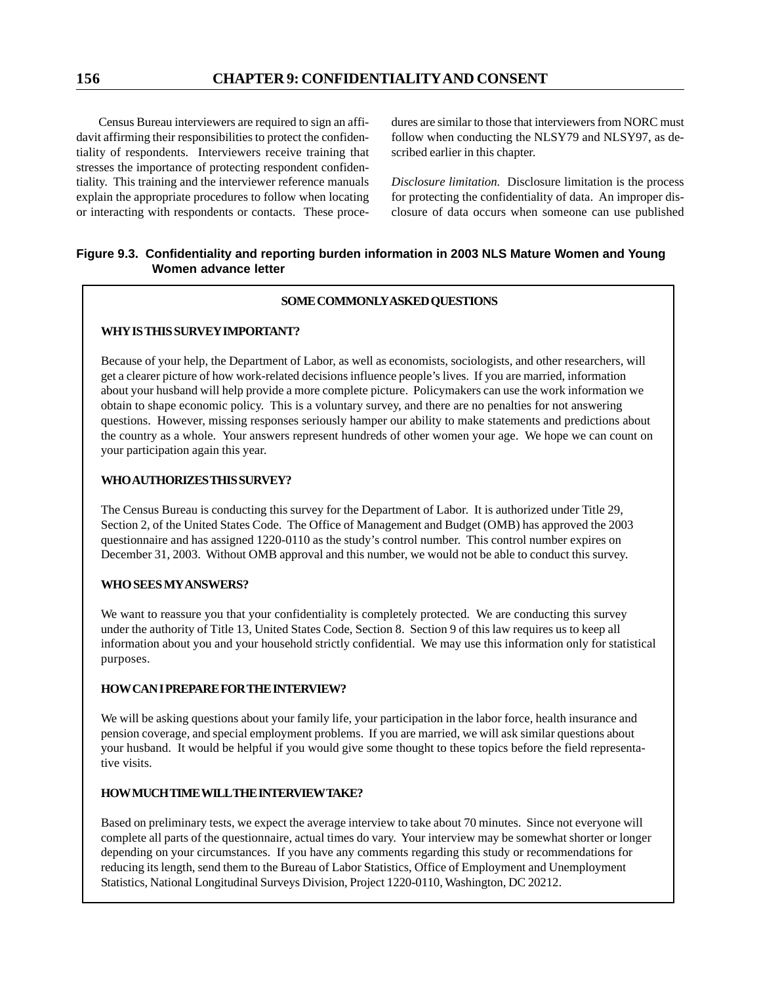Census Bureau interviewers are required to sign an affidavit affirming their responsibilities to protect the confidentiality of respondents. Interviewers receive training that stresses the importance of protecting respondent confidentiality. This training and the interviewer reference manuals explain the appropriate procedures to follow when locating or interacting with respondents or contacts. These procedures are similar to those that interviewers from NORC must follow when conducting the NLSY79 and NLSY97, as described earlier in this chapter.

*Disclosure limitation.* Disclosure limitation is the process for protecting the confidentiality of data. An improper disclosure of data occurs when someone can use published

## **Figure 9.3. Confidentiality and reporting burden information in 2003 NLS Mature Women and Young Women advance letter**

## **SOME COMMONLY ASKED QUESTIONS**

## **WHY IS THIS SURVEY IMPORTANT?**

Because of your help, the Department of Labor, as well as economists, sociologists, and other researchers, will get a clearer picture of how work-related decisions influence people's lives. If you are married, information about your husband will help provide a more complete picture. Policymakers can use the work information we obtain to shape economic policy. This is a voluntary survey, and there are no penalties for not answering questions. However, missing responses seriously hamper our ability to make statements and predictions about the country as a whole. Your answers represent hundreds of other women your age. We hope we can count on your participation again this year.

## **WHO AUTHORIZES THIS SURVEY?**

The Census Bureau is conducting this survey for the Department of Labor. It is authorized under Title 29, Section 2, of the United States Code. The Office of Management and Budget (OMB) has approved the 2003 questionnaire and has assigned 1220-0110 as the study's control number. This control number expires on December 31, 2003. Without OMB approval and this number, we would not be able to conduct this survey.

## **WHO SEES MY ANSWERS?**

We want to reassure you that your confidentiality is completely protected. We are conducting this survey under the authority of Title 13, United States Code, Section 8. Section 9 of this law requires us to keep all information about you and your household strictly confidential. We may use this information only for statistical purposes.

### **HOW CAN I PREPARE FOR THE INTERVIEW?**

We will be asking questions about your family life, your participation in the labor force, health insurance and pension coverage, and special employment problems. If you are married, we will ask similar questions about your husband. It would be helpful if you would give some thought to these topics before the field representative visits.

# **HOW MUCH TIME WILL THE INTERVIEW TAKE?**

Based on preliminary tests, we expect the average interview to take about 70 minutes. Since not everyone will complete all parts of the questionnaire, actual times do vary. Your interview may be somewhat shorter or longer depending on your circumstances. If you have any comments regarding this study or recommendations for reducing its length, send them to the Bureau of Labor Statistics, Office of Employment and Unemployment Statistics, National Longitudinal Surveys Division, Project 1220-0110, Washington, DC 20212.